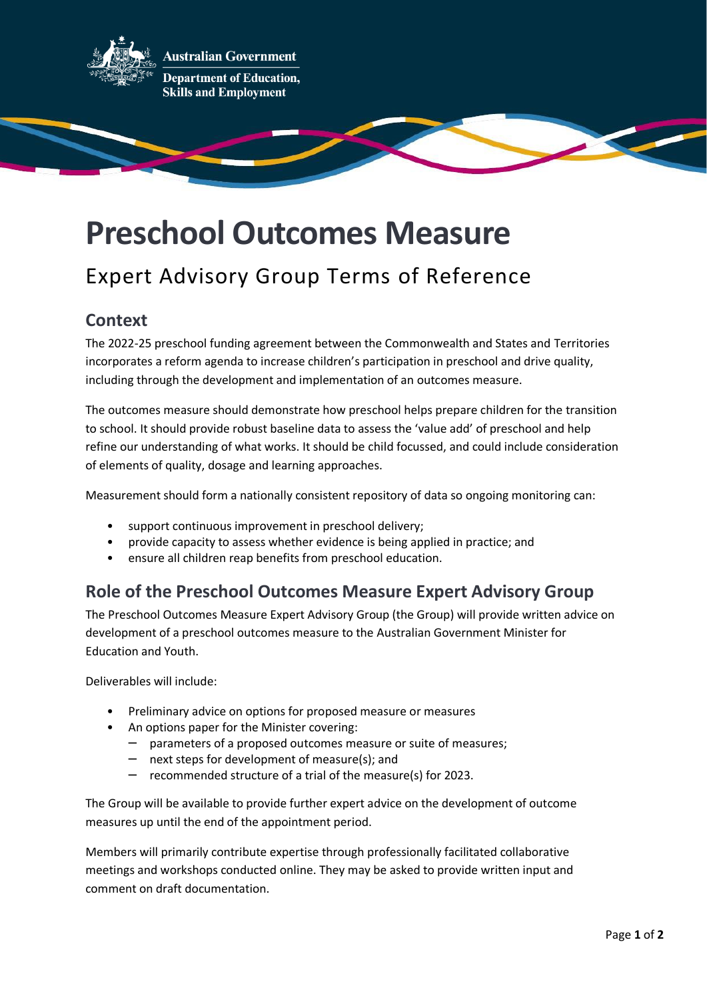

# **Preschool Outcomes Measure**

## Expert Advisory Group Terms of Reference

#### **Context**

The 2022-25 preschool funding agreement between the Commonwealth and States and Territories incorporates a reform agenda to increase children's participation in preschool and drive quality, including through the development and implementation of an outcomes measure.

The outcomes measure should demonstrate how preschool helps prepare children for the transition to school. It should provide robust baseline data to assess the 'value add' of preschool and help refine our understanding of what works. It should be child focussed, and could include consideration of elements of quality, dosage and learning approaches.

Measurement should form a nationally consistent repository of data so ongoing monitoring can:

- support continuous improvement in preschool delivery;
- provide capacity to assess whether evidence is being applied in practice; and
- ensure all children reap benefits from preschool education.

### **Role of the Preschool Outcomes Measure Expert Advisory Group**

The Preschool Outcomes Measure Expert Advisory Group (the Group) will provide written advice on development of a preschool outcomes measure to the Australian Government Minister for Education and Youth.

Deliverables will include:

- Preliminary advice on options for proposed measure or measures
- An options paper for the Minister covering:
	- parameters of a proposed outcomes measure or suite of measures;
	- next steps for development of measure(s); and
	- recommended structure of a trial of the measure(s) for 2023.

The Group will be available to provide further expert advice on the development of outcome measures up until the end of the appointment period.

Members will primarily contribute expertise through professionally facilitated collaborative meetings and workshops conducted online. They may be asked to provide written input and comment on draft documentation.